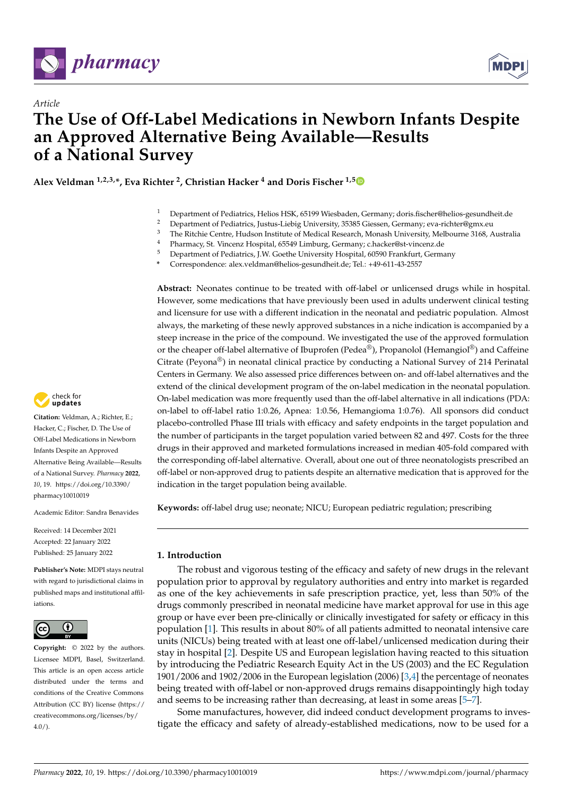



# *Article* **The Use of Off-Label Medications in Newborn Infants Despite an Approved Alternative Being Available—Results of a National Survey**

**Alex Veldman 1,2,3,\*, Eva Richter <sup>2</sup> , Christian Hacker <sup>4</sup> and Doris Fischer 1,[5](https://orcid.org/0000-0001-9893-6744)**

- <sup>1</sup> Department of Pediatrics, Helios HSK, 65199 Wiesbaden, Germany; doris.fischer@helios-gesundheit.de<br><sup>2</sup> Department of Pediatrics, Justus Lisbis University, 25285 Ciosson, Cermany, ave risbter@emy, au
- <sup>2</sup> Department of Pediatrics, Justus-Liebig University, 35385 Giessen, Germany; eva-richter@gmx.eu<br><sup>3</sup> The Bitchie Centre Hydrog Institute of Madisel Bessent, Managh Hydrogity, Malbaume 2168, A
- <sup>3</sup> The Ritchie Centre, Hudson Institute of Medical Research, Monash University, Melbourne 3168, Australia
- <sup>4</sup> Pharmacy, St. Vincenz Hospital, 65549 Limburg, Germany; c.hacker@st-vincenz.de<br><sup>5</sup> Pharacterist of Dedictrics, J.W. Gertha University Herrital, (0500 Frankfurt, Garm
- <sup>5</sup> Department of Pediatrics, J.W. Goethe University Hospital, 60590 Frankfurt, Germany
- **\*** Correspondence: alex.veldman@helios-gesundheit.de; Tel.: +49-611-43-2557

**Abstract:** Neonates continue to be treated with off-label or unlicensed drugs while in hospital. However, some medications that have previously been used in adults underwent clinical testing and licensure for use with a different indication in the neonatal and pediatric population. Almost always, the marketing of these newly approved substances in a niche indication is accompanied by a steep increase in the price of the compound. We investigated the use of the approved formulation or the cheaper off-label alternative of Ibuprofen (Pedea®), Propanolol (Hemangiol®) and Caffeine Citrate (Peyona®) in neonatal clinical practice by conducting a National Survey of 214 Perinatal Centers in Germany. We also assessed price differences between on- and off-label alternatives and the extend of the clinical development program of the on-label medication in the neonatal population. On-label medication was more frequently used than the off-label alternative in all indications (PDA: on-label to off-label ratio 1:0.26, Apnea: 1:0.56, Hemangioma 1:0.76). All sponsors did conduct placebo-controlled Phase III trials with efficacy and safety endpoints in the target population and the number of participants in the target population varied between 82 and 497. Costs for the three drugs in their approved and marketed formulations increased in median 405-fold compared with the corresponding off-label alternative. Overall, about one out of three neonatologists prescribed an off-label or non-approved drug to patients despite an alternative medication that is approved for the indication in the target population being available.

**Keywords:** off-label drug use; neonate; NICU; European pediatric regulation; prescribing

## **1. Introduction**

The robust and vigorous testing of the efficacy and safety of new drugs in the relevant population prior to approval by regulatory authorities and entry into market is regarded as one of the key achievements in safe prescription practice, yet, less than 50% of the drugs commonly prescribed in neonatal medicine have market approval for use in this age group or have ever been pre-clinically or clinically investigated for safety or efficacy in this population [\[1\]](#page-8-0). This results in about 80% of all patients admitted to neonatal intensive care units (NICUs) being treated with at least one off-label/unlicensed medication during their stay in hospital [\[2\]](#page-8-1). Despite US and European legislation having reacted to this situation by introducing the Pediatric Research Equity Act in the US (2003) and the EC Regulation 1901/2006 and 1902/2006 in the European legislation (2006) [\[3,](#page-8-2)[4\]](#page-8-3) the percentage of neonates being treated with off-label or non-approved drugs remains disappointingly high today and seems to be increasing rather than decreasing, at least in some areas [\[5](#page-8-4)[–7\]](#page-8-5).

Some manufactures, however, did indeed conduct development programs to investigate the efficacy and safety of already-established medications, now to be used for a



**Citation:** Veldman, A.; Richter, E.; Hacker, C.; Fischer, D. The Use of Off-Label Medications in Newborn Infants Despite an Approved Alternative Being Available—Results of a National Survey. *Pharmacy* **2022**, *10*, 19. [https://doi.org/10.3390/](https://doi.org/10.3390/pharmacy10010019) [pharmacy10010019](https://doi.org/10.3390/pharmacy10010019)

Academic Editor: Sandra Benavides

Received: 14 December 2021 Accepted: 22 January 2022 Published: 25 January 2022

**Publisher's Note:** MDPI stays neutral with regard to jurisdictional claims in published maps and institutional affiliations.



**Copyright:** © 2022 by the authors. Licensee MDPI, Basel, Switzerland. This article is an open access article distributed under the terms and conditions of the Creative Commons Attribution (CC BY) license [\(https://](https://creativecommons.org/licenses/by/4.0/) [creativecommons.org/licenses/by/](https://creativecommons.org/licenses/by/4.0/)  $4.0/$ ).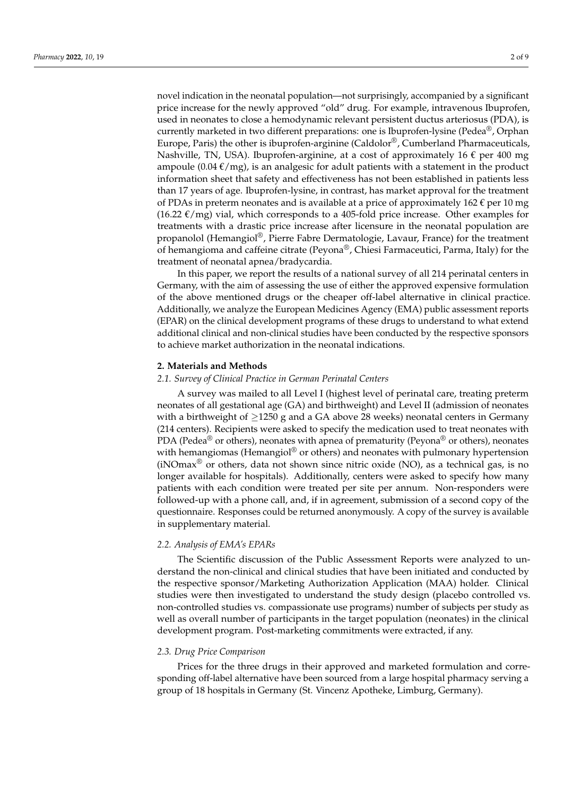novel indication in the neonatal population—not surprisingly, accompanied by a significant price increase for the newly approved "old" drug. For example, intravenous Ibuprofen, used in neonates to close a hemodynamic relevant persistent ductus arteriosus (PDA), is currently marketed in two different preparations: one is Ibuprofen-lysine (Pedea®, Orphan Europe, Paris) the other is ibuprofen-arginine (Caldolor®, Cumberland Pharmaceuticals, Nashville, TN, USA). Ibuprofen-arginine, at a cost of approximately 16  $\epsilon$  per 400 mg ampoule (0.04  $\epsilon$ /mg), is an analgesic for adult patients with a statement in the product information sheet that safety and effectiveness has not been established in patients less than 17 years of age. Ibuprofen-lysine, in contrast, has market approval for the treatment of PDAs in preterm neonates and is available at a price of approximately  $162 \epsilon$  per 10 mg (16.22  $\epsilon$ /mg) vial, which corresponds to a 405-fold price increase. Other examples for treatments with a drastic price increase after licensure in the neonatal population are propanolol (Hemangiol®, Pierre Fabre Dermatologie, Lavaur, France) for the treatment of hemangioma and caffeine citrate (Peyona®, Chiesi Farmaceutici, Parma, Italy) for the treatment of neonatal apnea/bradycardia.

In this paper, we report the results of a national survey of all 214 perinatal centers in Germany, with the aim of assessing the use of either the approved expensive formulation of the above mentioned drugs or the cheaper off-label alternative in clinical practice. Additionally, we analyze the European Medicines Agency (EMA) public assessment reports (EPAR) on the clinical development programs of these drugs to understand to what extend additional clinical and non-clinical studies have been conducted by the respective sponsors to achieve market authorization in the neonatal indications.

## **2. Materials and Methods**

## *2.1. Survey of Clinical Practice in German Perinatal Centers*

A survey was mailed to all Level I (highest level of perinatal care, treating preterm neonates of all gestational age (GA) and birthweight) and Level II (admission of neonates with a birthweight of  $\geq$ 1250 g and a GA above 28 weeks) neonatal centers in Germany (214 centers). Recipients were asked to specify the medication used to treat neonates with PDA (Pedea<sup>®</sup> or others), neonates with apnea of prematurity (Peyona<sup>®</sup> or others), neonates with hemangiomas (Hemangiol<sup>®</sup> or others) and neonates with pulmonary hypertension  $(iNOmax<sup>®</sup>$  or others, data not shown since nitric oxide (NO), as a technical gas, is no longer available for hospitals). Additionally, centers were asked to specify how many patients with each condition were treated per site per annum. Non-responders were followed-up with a phone call, and, if in agreement, submission of a second copy of the questionnaire. Responses could be returned anonymously. A copy of the survey is available in supplementary material.

## *2.2. Analysis of EMA's EPARs*

The Scientific discussion of the Public Assessment Reports were analyzed to understand the non-clinical and clinical studies that have been initiated and conducted by the respective sponsor/Marketing Authorization Application (MAA) holder. Clinical studies were then investigated to understand the study design (placebo controlled vs. non-controlled studies vs. compassionate use programs) number of subjects per study as well as overall number of participants in the target population (neonates) in the clinical development program. Post-marketing commitments were extracted, if any.

### *2.3. Drug Price Comparison*

Prices for the three drugs in their approved and marketed formulation and corresponding off-label alternative have been sourced from a large hospital pharmacy serving a group of 18 hospitals in Germany (St. Vincenz Apotheke, Limburg, Germany).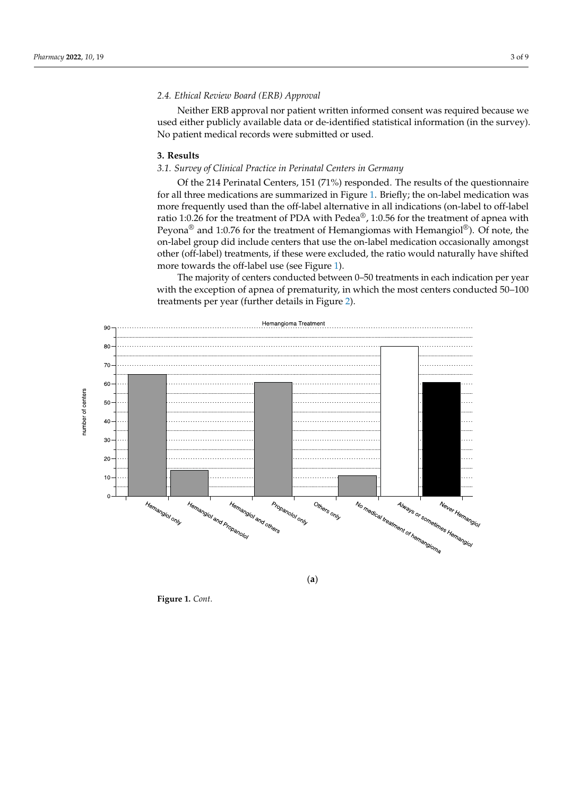## *2.4. Ethical Review Board (ERB) Approval*

Neither ERB approval nor patient written informed consent was required because we used either publicly available data or de-identified statistical information (in the survey). No patient medical records were submitted or used.

#### **3. Results** we use the public data or definition or definition (in the sur-

# 3.1. Survey of Clinical Practice in Perinatal Centers in Germany

Of the 214 Perinatal Centers, 151 (71%) responded. The results of the questionnaire **3. Results**  *3.[1.](#page-3-0) for all three medications are summarized in Figure 1. Briefly; the on-label medication was*<br>*3.1. Survey of Clinical Practice in Perinatal Centers in Germany Centers in Germany Centers in Germany Centers* more frequently used than the off-label alternative in all indications (on-label to off-label ratio 1:0.26 for the treatment of PDA with Pedea<sup>®</sup>, 1:0.56 for the treatment of apnea with Peyona® and 1:0.76 for the treatment of Hemangiomas with Hemangiol®). Of note, the on-label group did include centers that use the on-label medication occasionally amongst other (off-label) treatments, if these were excluded, the ratio would naturally have shifted more towards the off-label use (see Figure [1\)](#page-3-0).

The majority of centers conducted between 0–50 treatments in each indication per year with the exception of apnea of prematurity, in which the most centers conducted 50–100 treatments per year (further details in F[igu](#page-4-0)re 2).



(**a**)

**Figure 1.** *Cont*.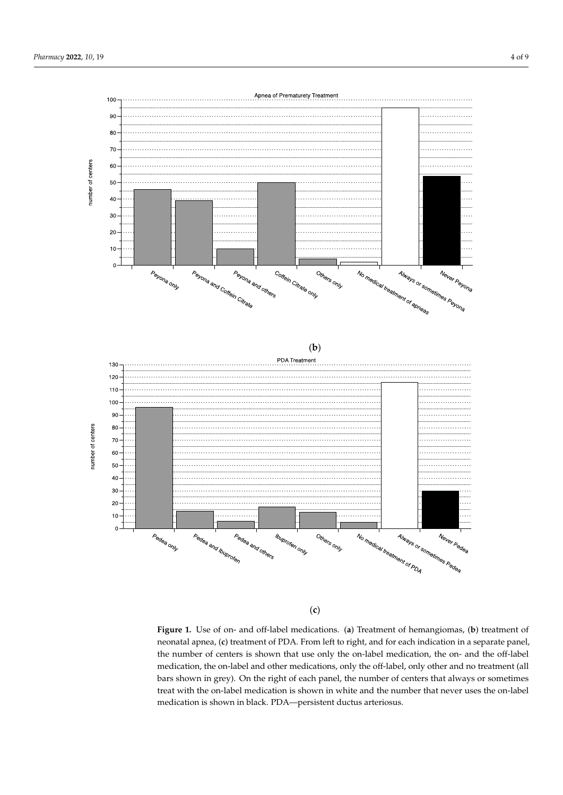<span id="page-3-0"></span>

(**c**)

neonatal apnea, (c) treatment of PDA. From left to right, and for each indication in a separate panel, the number of centers is shown that use only the on-label medication, the on- and the off-label medication, the on-label and other medications, only the off-label, only other and no treatment (all bars shown in grey). On the right of each panel, the number of centers that always or sometimes shown in grey). On the right of each panel, the number of centers that always or concentres treat with the on-label medication is shown in white and the number that never uses the on-label cation is shown in black. PDA—persistent ductus arteriosus. medication is shown in black. PDA—persistent ductus arteriosus.**Figure 1.** Use of on- and off-label medications. (**a**) Treatment of hemangiomas, (**b**) treatment of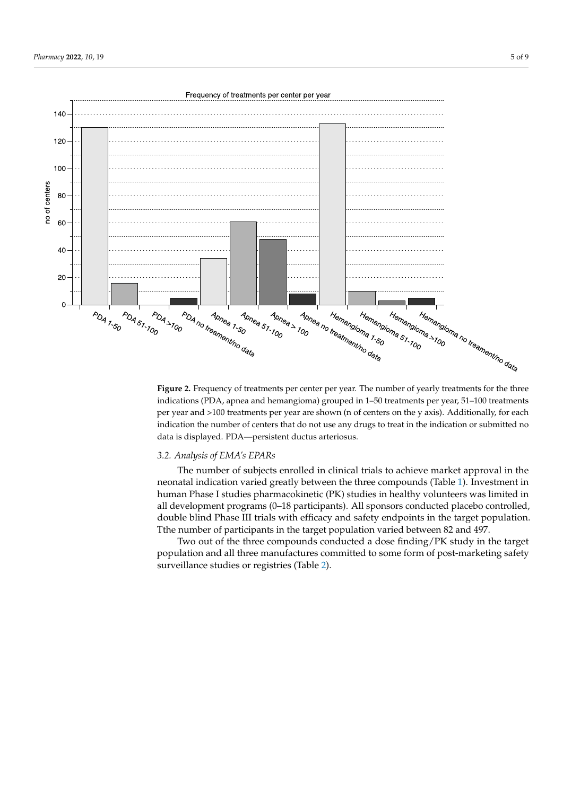<span id="page-4-0"></span>

**Figure 2.** Frequency of treatments per center per year. The number of yearly treatments for the three **Figure 2.** Frequency of treatments per center per year. The number of yearly treatments for the three indications (PDA, apnea and hemangioma) grouped in 1–50 treatments per year, 51–100 treatments indications (PDA, apnea and hemangioma) grouped in 1–50 treatments per year, 51–100 treatments per year and >100 treatments per year are shown (n of centers on the y axis). Additionally, for each per year and >100 treatments per year are shown (n of centers on the y axis). Additionally, for each indication the number of centers that do not use any drugs to treat in the indication or submitted no indication the number of centers that do not use any drugs to treat in the indication or submitted no data is displayed. PDA—persistent ductus arteriosus. data is displayed. PDA—persistent ductus arteriosus.

## *3.2. Analysis of EMA's EPARs 3.2. Analysis of EMA's EPARs*

The number of subjects enrolled in clinical trials to achieve market approval in the The number of subjects enrolled in clinical trials to achieve market approval in the neonatal indication varied greatly between the three compounds (Tab[le](#page-5-0) 1). Investment in neonatal indication varied greatly between the three compounds (Table 1). Investment in human Phase I studies pharmacokinetic (PK) studies in healthy volunteers was limited in human Phase I studies pharmacokinetic (PK) studies in healthy volunteers was limited in all development programs (0–18 participants). All sponsors conducted placebo controlled, all development programs (0–18 participants). All sponsors conducted placebo controlled, double blind Phase III trials with efficacy and safety endpoints in the target population. double blind Phase III trials with efficacy and safety endpoints in the target population. Tthe number of participants in the target population varied between 82 and 497. Tthe number of participants in the target population varied between 82 and 497.

Two out of the three compounds conducted a dose finding/PK study in the target population and all three manufactures committed to some form of post-marketing safety surveillance studies or registries (Table [2\)](#page-5-1).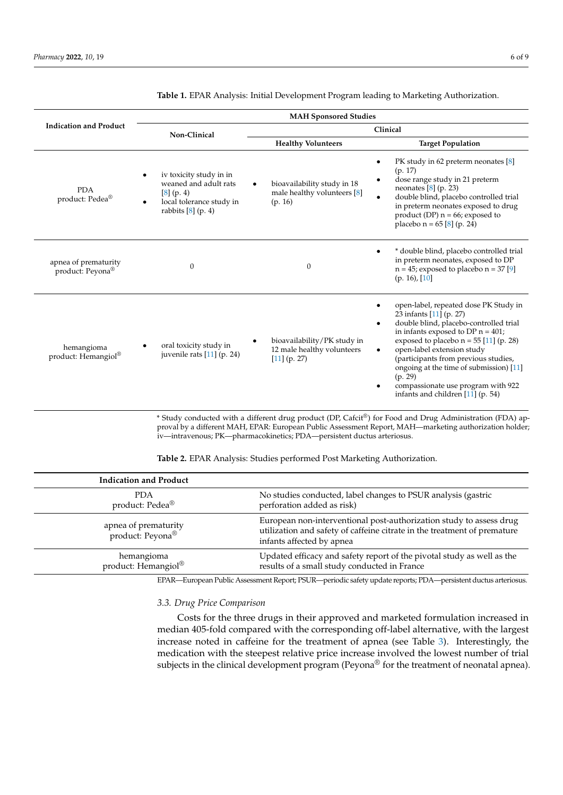|                                          | <b>MAH Sponsored Studies</b>                                                                                       |                                                                           |                                                                                                                                                                                                                                                                                                                                                                                                            |  |
|------------------------------------------|--------------------------------------------------------------------------------------------------------------------|---------------------------------------------------------------------------|------------------------------------------------------------------------------------------------------------------------------------------------------------------------------------------------------------------------------------------------------------------------------------------------------------------------------------------------------------------------------------------------------------|--|
| <b>Indication and Product</b>            | Non-Clinical                                                                                                       | Clinical                                                                  |                                                                                                                                                                                                                                                                                                                                                                                                            |  |
|                                          |                                                                                                                    | <b>Healthy Volunteers</b>                                                 | <b>Target Population</b>                                                                                                                                                                                                                                                                                                                                                                                   |  |
| <b>PDA</b><br>product: Pedea®            | iv toxicity study in in<br>weaned and adult rats<br>[8] (p. 4)<br>local tolerance study in<br>rabbits $[8]$ (p. 4) | bioavailability study in 18<br>male healthy volunteers [8]<br>(p. 16)     | PK study in 62 preterm neonates [8]<br>(p. 17)<br>dose range study in 21 preterm<br>neonates $[8]$ (p. 23)<br>double blind, placebo controlled trial<br>in preterm neonates exposed to drug<br>product (DP) $n = 66$ ; exposed to<br>placebo $n = 65$ [8] (p. 24)                                                                                                                                          |  |
| apnea of prematurity<br>product: Peyona® | $\theta$                                                                                                           | $\mathbf{0}$                                                              | * double blind, placebo controlled trial<br>in preterm neonates, exposed to DP<br>$n = 45$ ; exposed to placebo $n = 37$ [9]<br>$(p. 16)$ , [10]                                                                                                                                                                                                                                                           |  |
| hemangioma<br>product: Hemangiol®        | oral toxicity study in<br>juvenile rats [11] (p. 24)                                                               | bioavailability/PK study in<br>12 male healthy volunteers<br>[11] (p. 27) | open-label, repeated dose PK Study in<br>23 infants [11] (p. 27)<br>double blind, placebo-controlled trial<br>٠<br>in infants exposed to DP $n = 401$ ;<br>exposed to placebo $n = 55$ [11] (p. 28)<br>open-label extension study<br>(participants from previous studies,<br>ongoing at the time of submission) [11]<br>(p. 29)<br>compassionate use program with 922<br>infants and children [11] (p. 54) |  |

<span id="page-5-0"></span>**Table 1.** EPAR Analysis: Initial Development Program leading to Marketing Authorization.

\* Study conducted with a different drug product (DP, Cafcit®) for Food and Drug Administration (FDA) approval by a different MAH, EPAR: European Public Assessment Report, MAH—marketing authorization holder; iv—intravenous; PK—pharmacokinetics; PDA—persistent ductus arteriosus.

<span id="page-5-1"></span>

| <b>Table 2.</b> EPAR Analysis: Studies performed Post Marketing Authorization. |  |  |  |
|--------------------------------------------------------------------------------|--|--|--|
|--------------------------------------------------------------------------------|--|--|--|

| <b>Indication and Product</b>                        |                                                                                                                                                                              |
|------------------------------------------------------|------------------------------------------------------------------------------------------------------------------------------------------------------------------------------|
| <b>PDA</b><br>product: Pedea <sup>®</sup>            | No studies conducted, label changes to PSUR analysis (gastric<br>perforation added as risk)                                                                                  |
| apnea of prematurity<br>product: Peyona <sup>®</sup> | European non-interventional post-authorization study to assess drug<br>utilization and safety of caffeine citrate in the treatment of premature<br>infants affected by apnea |
| hemangioma<br>product: Hemangiol®                    | Updated efficacy and safety report of the pivotal study as well as the<br>results of a small study conducted in France                                                       |
|                                                      |                                                                                                                                                                              |

EPAR—European Public Assessment Report; PSUR—periodic safety update reports; PDA—persistent ductus arteriosus.

## *3.3. Drug Price Comparison*

Costs for the three drugs in their approved and marketed formulation increased in median 405-fold compared with the corresponding off-label alternative, with the largest increase noted in caffeine for the treatment of apnea (see Table [3\)](#page-6-0). Interestingly, the medication with the steepest relative price increase involved the lowest number of trial subjects in the clinical development program (Peyona® for the treatment of neonatal apnea).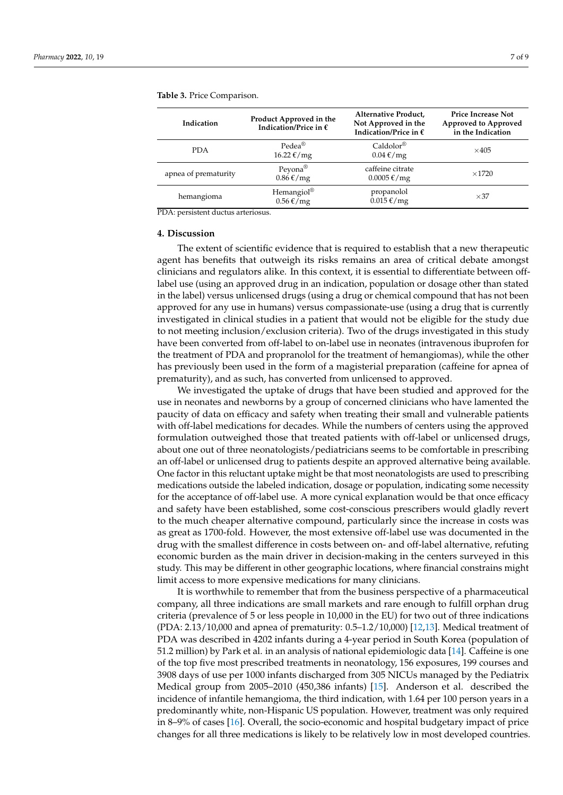| Indication           | Product Approved in the<br>Indication/Price in $\epsilon$ | Alternative Product,<br>Not Approved in the<br>Indication/Price in $\epsilon$ | <b>Price Increase Not</b><br>Approved to Approved<br>in the Indication |
|----------------------|-----------------------------------------------------------|-------------------------------------------------------------------------------|------------------------------------------------------------------------|
| <b>PDA</b>           | $P$ edea $^{\circledR}$<br>$16.22 \text{ E/mg}$           | $Caldolor^{\circledR}$<br>$0.04 \text{ E/mg}$                                 | $\times$ 405                                                           |
| apnea of prematurity | Peyona®<br>$0.86 \text{ f/mg}$                            | caffeine citrate<br>$0.0005 \text{€}/\text{mg}$                               | $\times$ 1720                                                          |
| hemangioma           | Hemangiol <sup>®</sup><br>$0.56 \text{ f/mg}$             | propanolol<br>$0.015 \text{ E/mg}$                                            | $\times$ 37                                                            |

<span id="page-6-0"></span>**Table 3.** Price Comparison.

PDA: persistent ductus arteriosus.

### **4. Discussion**

The extent of scientific evidence that is required to establish that a new therapeutic agent has benefits that outweigh its risks remains an area of critical debate amongst clinicians and regulators alike. In this context, it is essential to differentiate between offlabel use (using an approved drug in an indication, population or dosage other than stated in the label) versus unlicensed drugs (using a drug or chemical compound that has not been approved for any use in humans) versus compassionate-use (using a drug that is currently investigated in clinical studies in a patient that would not be eligible for the study due to not meeting inclusion/exclusion criteria). Two of the drugs investigated in this study have been converted from off-label to on-label use in neonates (intravenous ibuprofen for the treatment of PDA and propranolol for the treatment of hemangiomas), while the other has previously been used in the form of a magisterial preparation (caffeine for apnea of prematurity), and as such, has converted from unlicensed to approved.

We investigated the uptake of drugs that have been studied and approved for the use in neonates and newborns by a group of concerned clinicians who have lamented the paucity of data on efficacy and safety when treating their small and vulnerable patients with off-label medications for decades. While the numbers of centers using the approved formulation outweighed those that treated patients with off-label or unlicensed drugs, about one out of three neonatologists/pediatricians seems to be comfortable in prescribing an off-label or unlicensed drug to patients despite an approved alternative being available. One factor in this reluctant uptake might be that most neonatologists are used to prescribing medications outside the labeled indication, dosage or population, indicating some necessity for the acceptance of off-label use. A more cynical explanation would be that once efficacy and safety have been established, some cost-conscious prescribers would gladly revert to the much cheaper alternative compound, particularly since the increase in costs was as great as 1700-fold. However, the most extensive off-label use was documented in the drug with the smallest difference in costs between on- and off-label alternative, refuting economic burden as the main driver in decision-making in the centers surveyed in this study. This may be different in other geographic locations, where financial constrains might limit access to more expensive medications for many clinicians.

It is worthwhile to remember that from the business perspective of a pharmaceutical company, all three indications are small markets and rare enough to fulfill orphan drug criteria (prevalence of 5 or less people in 10,000 in the EU) for two out of three indications (PDA: 2.13/10,000 and apnea of prematurity: 0.5–1.2/10,000) [\[12,](#page-8-10)[13\]](#page-8-11). Medical treatment of PDA was described in 4202 infants during a 4-year period in South Korea (population of 51.2 million) by Park et al. in an analysis of national epidemiologic data [\[14\]](#page-8-12). Caffeine is one of the top five most prescribed treatments in neonatology, 156 exposures, 199 courses and 3908 days of use per 1000 infants discharged from 305 NICUs managed by the Pediatrix Medical group from 2005–2010 (450,386 infants) [\[15\]](#page-8-13). Anderson et al. described the incidence of infantile hemangioma, the third indication, with 1.64 per 100 person years in a predominantly white, non-Hispanic US population. However, treatment was only required in 8–9% of cases [\[16\]](#page-8-14). Overall, the socio-economic and hospital budgetary impact of price changes for all three medications is likely to be relatively low in most developed countries.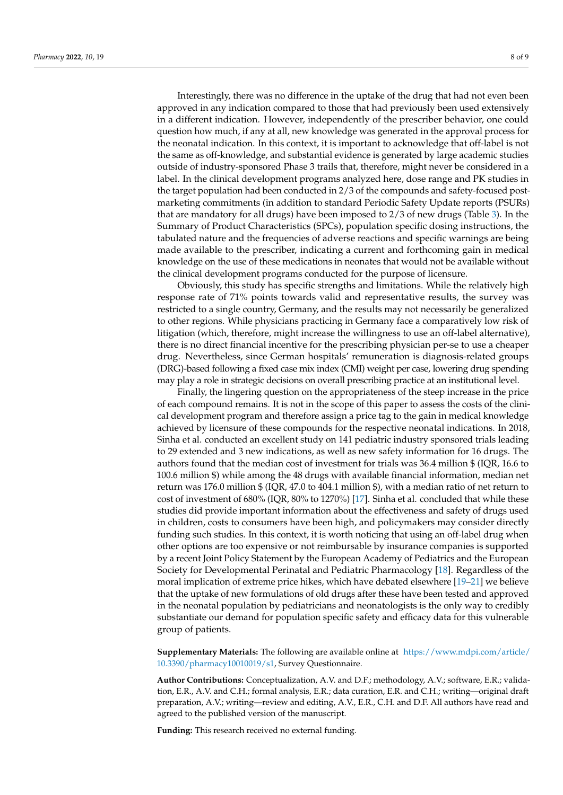Interestingly, there was no difference in the uptake of the drug that had not even been approved in any indication compared to those that had previously been used extensively in a different indication. However, independently of the prescriber behavior, one could question how much, if any at all, new knowledge was generated in the approval process for the neonatal indication. In this context, it is important to acknowledge that off-label is not the same as off-knowledge, and substantial evidence is generated by large academic studies outside of industry-sponsored Phase 3 trails that, therefore, might never be considered in a label. In the clinical development programs analyzed here, dose range and PK studies in the target population had been conducted in 2/3 of the compounds and safety-focused postmarketing commitments (in addition to standard Periodic Safety Update reports (PSURs) that are mandatory for all drugs) have been imposed to 2/3 of new drugs (Table [3\)](#page-6-0). In the Summary of Product Characteristics (SPCs), population specific dosing instructions, the tabulated nature and the frequencies of adverse reactions and specific warnings are being made available to the prescriber, indicating a current and forthcoming gain in medical knowledge on the use of these medications in neonates that would not be available without the clinical development programs conducted for the purpose of licensure.

Obviously, this study has specific strengths and limitations. While the relatively high response rate of 71% points towards valid and representative results, the survey was restricted to a single country, Germany, and the results may not necessarily be generalized to other regions. While physicians practicing in Germany face a comparatively low risk of litigation (which, therefore, might increase the willingness to use an off-label alternative), there is no direct financial incentive for the prescribing physician per-se to use a cheaper drug. Nevertheless, since German hospitals' remuneration is diagnosis-related groups (DRG)-based following a fixed case mix index (CMI) weight per case, lowering drug spending may play a role in strategic decisions on overall prescribing practice at an institutional level.

Finally, the lingering question on the appropriateness of the steep increase in the price of each compound remains. It is not in the scope of this paper to assess the costs of the clinical development program and therefore assign a price tag to the gain in medical knowledge achieved by licensure of these compounds for the respective neonatal indications. In 2018, Sinha et al. conducted an excellent study on 141 pediatric industry sponsored trials leading to 29 extended and 3 new indications, as well as new safety information for 16 drugs. The authors found that the median cost of investment for trials was 36.4 million \$ (IQR, 16.6 to 100.6 million \$) while among the 48 drugs with available financial information, median net return was 176.0 million \$ (IQR, 47.0 to 404.1 million \$), with a median ratio of net return to cost of investment of 680% (IQR, 80% to 1270%) [\[17\]](#page-8-15). Sinha et al. concluded that while these studies did provide important information about the effectiveness and safety of drugs used in children, costs to consumers have been high, and policymakers may consider directly funding such studies. In this context, it is worth noticing that using an off-label drug when other options are too expensive or not reimbursable by insurance companies is supported by a recent Joint Policy Statement by the European Academy of Pediatrics and the European Society for Developmental Perinatal and Pediatric Pharmacology [\[18\]](#page-8-16). Regardless of the moral implication of extreme price hikes, which have debated elsewhere [\[19](#page-8-17)[–21\]](#page-8-18) we believe that the uptake of new formulations of old drugs after these have been tested and approved in the neonatal population by pediatricians and neonatologists is the only way to credibly substantiate our demand for population specific safety and efficacy data for this vulnerable group of patients.

**Supplementary Materials:** The following are available online at [https://www.mdpi.com/article/](https://www.mdpi.com/article/10.3390/pharmacy10010019/s1) [10.3390/pharmacy10010019/s1,](https://www.mdpi.com/article/10.3390/pharmacy10010019/s1) Survey Questionnaire.

**Author Contributions:** Conceptualization, A.V. and D.F.; methodology, A.V.; software, E.R.; validation, E.R., A.V. and C.H.; formal analysis, E.R.; data curation, E.R. and C.H.; writing—original draft preparation, A.V.; writing—review and editing, A.V., E.R., C.H. and D.F. All authors have read and agreed to the published version of the manuscript.

**Funding:** This research received no external funding.